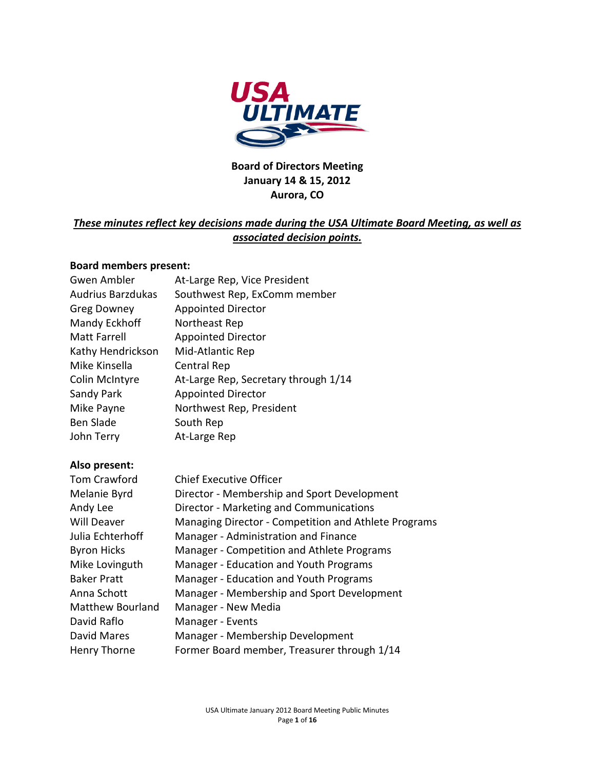

## **Board of Directors Meeting January 14 & 15, 2012 Aurora, CO**

## *These minutes reflect key decisions made during the USA Ultimate Board Meeting, as well as associated decision points.*

#### **Board members present:**

| At-Large Rep, Vice President         |
|--------------------------------------|
| Southwest Rep, ExComm member         |
| <b>Appointed Director</b>            |
| Northeast Rep                        |
| <b>Appointed Director</b>            |
| Mid-Atlantic Rep                     |
| Central Rep                          |
| At-Large Rep, Secretary through 1/14 |
| <b>Appointed Director</b>            |
| Northwest Rep, President             |
| South Rep                            |
| At-Large Rep                         |
|                                      |

#### **Also present:**

| Tom Crawford            | <b>Chief Executive Officer</b>                       |
|-------------------------|------------------------------------------------------|
| Melanie Byrd            | Director - Membership and Sport Development          |
| Andy Lee                | Director - Marketing and Communications              |
| <b>Will Deaver</b>      | Managing Director - Competition and Athlete Programs |
| Julia Echterhoff        | Manager - Administration and Finance                 |
| <b>Byron Hicks</b>      | Manager - Competition and Athlete Programs           |
| Mike Lovinguth          | Manager - Education and Youth Programs               |
| <b>Baker Pratt</b>      | Manager - Education and Youth Programs               |
| Anna Schott             | Manager - Membership and Sport Development           |
| <b>Matthew Bourland</b> | Manager - New Media                                  |
| David Raflo             | Manager - Events                                     |
| David Mares             | Manager - Membership Development                     |
| Henry Thorne            | Former Board member, Treasurer through 1/14          |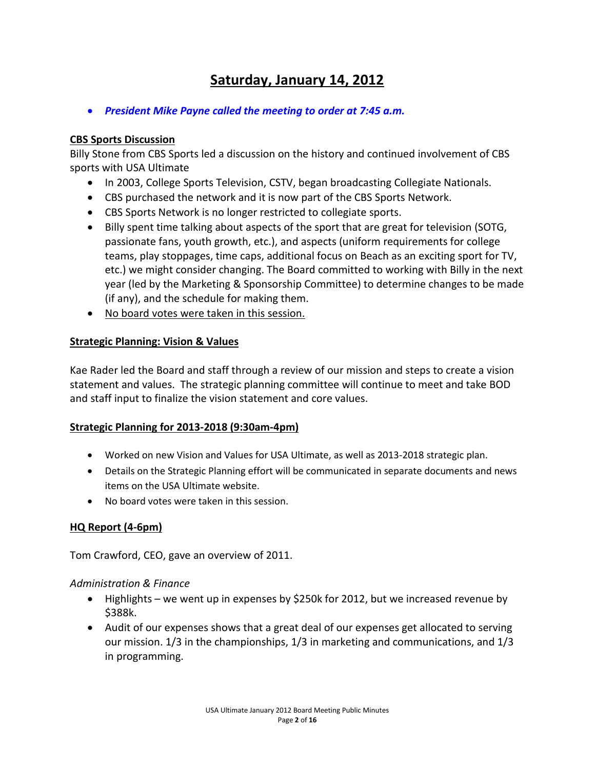# **Saturday, January 14, 2012**

• *President Mike Payne called the meeting to order at 7:45 a.m.*

#### **CBS Sports Discussion**

Billy Stone from CBS Sports led a discussion on the history and continued involvement of CBS sports with USA Ultimate

- In 2003, College Sports Television, CSTV, began broadcasting Collegiate Nationals.
- CBS purchased the network and it is now part of the CBS Sports Network.
- CBS Sports Network is no longer restricted to collegiate sports.
- Billy spent time talking about aspects of the sport that are great for television (SOTG, passionate fans, youth growth, etc.), and aspects (uniform requirements for college teams, play stoppages, time caps, additional focus on Beach as an exciting sport for TV, etc.) we might consider changing. The Board committed to working with Billy in the next year (led by the Marketing & Sponsorship Committee) to determine changes to be made (if any), and the schedule for making them.
- No board votes were taken in this session.

#### **Strategic Planning: Vision & Values**

Kae Rader led the Board and staff through a review of our mission and steps to create a vision statement and values. The strategic planning committee will continue to meet and take BOD and staff input to finalize the vision statement and core values.

#### **Strategic Planning for 2013-2018 (9:30am-4pm)**

- Worked on new Vision and Values for USA Ultimate, as well as 2013-2018 strategic plan.
- Details on the Strategic Planning effort will be communicated in separate documents and news items on the USA Ultimate website.
- No board votes were taken in this session.

## **HQ Report (4-6pm)**

Tom Crawford, CEO, gave an overview of 2011.

#### *Administration & Finance*

- Highlights we went up in expenses by \$250k for 2012, but we increased revenue by \$388k.
- Audit of our expenses shows that a great deal of our expenses get allocated to serving our mission. 1/3 in the championships, 1/3 in marketing and communications, and 1/3 in programming.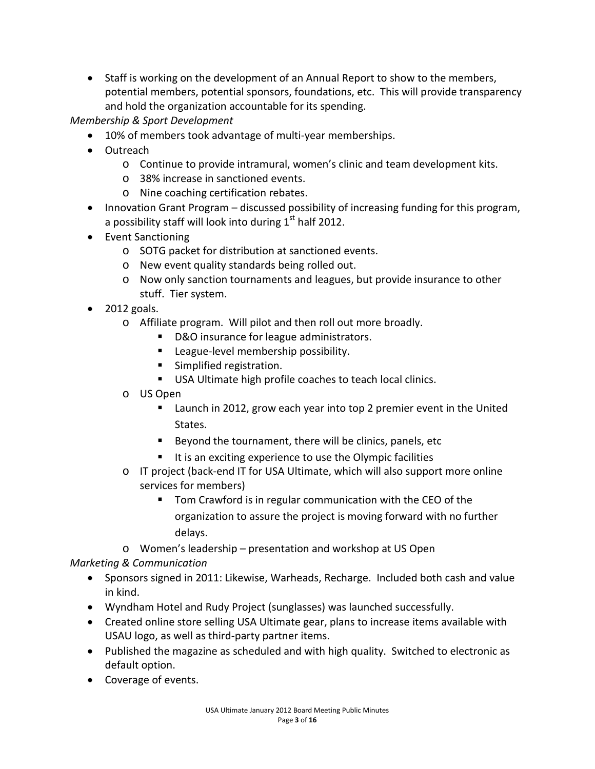• Staff is working on the development of an Annual Report to show to the members, potential members, potential sponsors, foundations, etc. This will provide transparency and hold the organization accountable for its spending.

*Membership & Sport Development*

- 10% of members took advantage of multi-year memberships.
- Outreach
	- o Continue to provide intramural, women's clinic and team development kits.
	- o 38% increase in sanctioned events.
	- o Nine coaching certification rebates.
- Innovation Grant Program discussed possibility of increasing funding for this program, a possibility staff will look into during  $1<sup>st</sup>$  half 2012.
- Event Sanctioning
	- o SOTG packet for distribution at sanctioned events.
	- o New event quality standards being rolled out.
	- o Now only sanction tournaments and leagues, but provide insurance to other stuff. Tier system.
- 2012 goals.
	- o Affiliate program. Will pilot and then roll out more broadly.
		- D&O insurance for league administrators.
		- **League-level membership possibility.**
		- **Simplified registration.**
		- USA Ultimate high profile coaches to teach local clinics.
	- o US Open
		- **EXT** Launch in 2012, grow each year into top 2 premier event in the United States.
		- Beyond the tournament, there will be clinics, panels, etc
		- $\blacksquare$  It is an exciting experience to use the Olympic facilities
	- o IT project (back-end IT for USA Ultimate, which will also support more online services for members)
		- Tom Crawford is in regular communication with the CEO of the organization to assure the project is moving forward with no further delays.
	- o Women's leadership presentation and workshop at US Open

## *Marketing & Communication*

- Sponsors signed in 2011: Likewise, Warheads, Recharge. Included both cash and value in kind.
- Wyndham Hotel and Rudy Project (sunglasses) was launched successfully.
- Created online store selling USA Ultimate gear, plans to increase items available with USAU logo, as well as third-party partner items.
- Published the magazine as scheduled and with high quality. Switched to electronic as default option.
- Coverage of events.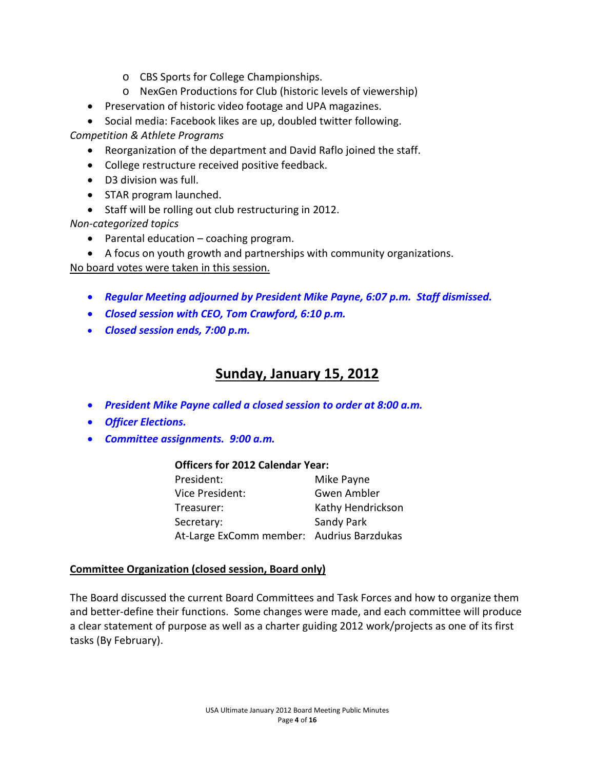- o CBS Sports for College Championships.
- o NexGen Productions for Club (historic levels of viewership)
- Preservation of historic video footage and UPA magazines.
- Social media: Facebook likes are up, doubled twitter following.

*Competition & Athlete Programs*

- Reorganization of the department and David Raflo joined the staff.
- College restructure received positive feedback.
- D3 division was full.
- STAR program launched.
- Staff will be rolling out club restructuring in 2012.

*Non-categorized topics*

- Parental education coaching program.
- A focus on youth growth and partnerships with community organizations.

No board votes were taken in this session.

- *Regular Meeting adjourned by President Mike Payne, 6:07 p.m. Staff dismissed.*
- *Closed session with CEO, Tom Crawford, 6:10 p.m.*
- *Closed session ends, 7:00 p.m.*

## **Sunday, January 15, 2012**

- *President Mike Payne called a closed session to order at 8:00 a.m.*
- *Officer Elections.*
- *Committee assignments. 9:00 a.m.*

#### **Officers for 2012 Calendar Year:**

| President:                                | Mike Payne        |
|-------------------------------------------|-------------------|
| Vice President:                           | Gwen Ambler       |
| Treasurer:                                | Kathy Hendrickson |
| Secretary:                                | Sandy Park        |
| At-Large ExComm member: Audrius Barzdukas |                   |

#### **Committee Organization (closed session, Board only)**

The Board discussed the current Board Committees and Task Forces and how to organize them and better-define their functions. Some changes were made, and each committee will produce a clear statement of purpose as well as a charter guiding 2012 work/projects as one of its first tasks (By February).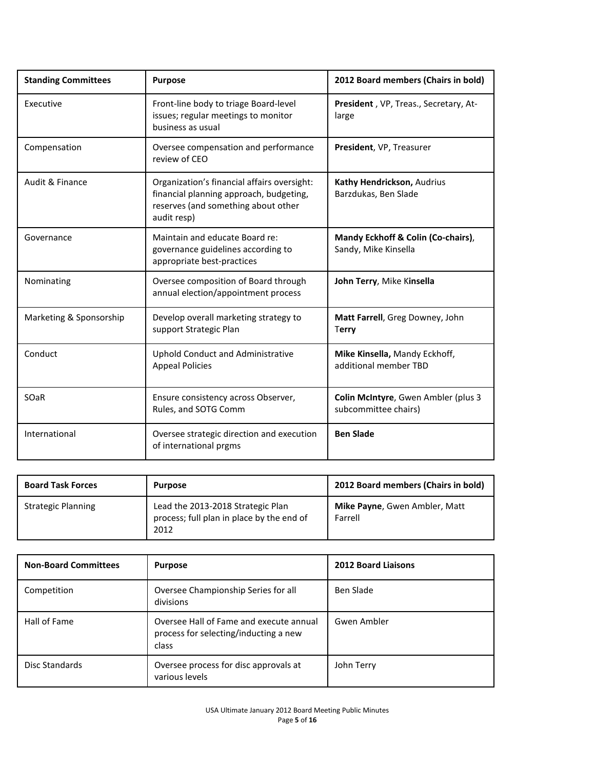| <b>Standing Committees</b> | <b>Purpose</b>                                                                                                                               | 2012 Board members (Chairs in bold)                         |  |
|----------------------------|----------------------------------------------------------------------------------------------------------------------------------------------|-------------------------------------------------------------|--|
| Executive                  | Front-line body to triage Board-level<br>issues; regular meetings to monitor<br>business as usual                                            | President, VP, Treas., Secretary, At-<br>large              |  |
| Compensation               | Oversee compensation and performance<br>review of CEO                                                                                        | President, VP, Treasurer                                    |  |
| Audit & Finance            | Organization's financial affairs oversight:<br>financial planning approach, budgeting,<br>reserves (and something about other<br>audit resp) | Kathy Hendrickson, Audrius<br>Barzdukas, Ben Slade          |  |
| Governance                 | Maintain and educate Board re:<br>governance guidelines according to<br>appropriate best-practices                                           | Mandy Eckhoff & Colin (Co-chairs),<br>Sandy, Mike Kinsella  |  |
| Nominating                 | Oversee composition of Board through<br>annual election/appointment process                                                                  | John Terry, Mike Kinsella                                   |  |
| Marketing & Sponsorship    | Develop overall marketing strategy to<br>support Strategic Plan                                                                              | Matt Farrell, Greg Downey, John<br>Terry                    |  |
| Conduct                    | Uphold Conduct and Administrative<br><b>Appeal Policies</b>                                                                                  | Mike Kinsella, Mandy Eckhoff,<br>additional member TBD      |  |
| SOaR                       | Ensure consistency across Observer,<br>Rules, and SOTG Comm                                                                                  | Colin McIntyre, Gwen Ambler (plus 3<br>subcommittee chairs) |  |
| International              | Oversee strategic direction and execution<br>of international prgms                                                                          | <b>Ben Slade</b>                                            |  |

| <b>Board Task Forces</b>  | <b>Purpose</b>                                                                         | 2012 Board members (Chairs in bold)             |
|---------------------------|----------------------------------------------------------------------------------------|-------------------------------------------------|
| <b>Strategic Planning</b> | Lead the 2013-2018 Strategic Plan<br>process; full plan in place by the end of<br>2012 | <b>Mike Payne, Gwen Ambler, Matt</b><br>Farrell |

| <b>Non-Board Committees</b> | <b>Purpose</b>                                                                            | <b>2012 Board Liaisons</b> |
|-----------------------------|-------------------------------------------------------------------------------------------|----------------------------|
| Competition                 | Oversee Championship Series for all<br>divisions                                          | Ben Slade                  |
| Hall of Fame                | Oversee Hall of Fame and execute annual<br>process for selecting/inducting a new<br>class | Gwen Ambler                |
| Disc Standards              | Oversee process for disc approvals at<br>various levels                                   | John Terry                 |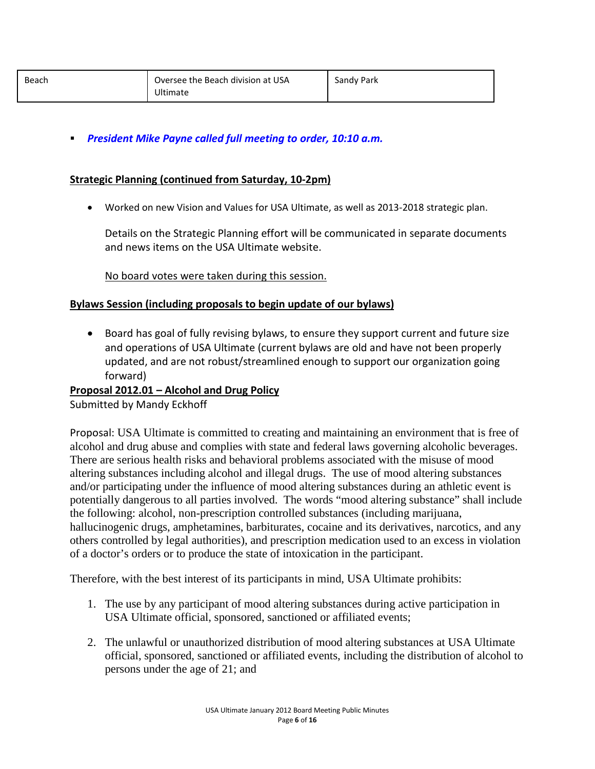| Beach | Oversee the Beach division at USA<br>Ultimate | Sandy Park |
|-------|-----------------------------------------------|------------|
|-------|-----------------------------------------------|------------|

*President Mike Payne called full meeting to order, 10:10 a.m.*

#### **Strategic Planning (continued from Saturday, 10-2pm)**

• Worked on new Vision and Values for USA Ultimate, as well as 2013-2018 strategic plan.

Details on the Strategic Planning effort will be communicated in separate documents and news items on the USA Ultimate website.

No board votes were taken during this session.

#### **Bylaws Session (including proposals to begin update of our bylaws)**

• Board has goal of fully revising bylaws, to ensure they support current and future size and operations of USA Ultimate (current bylaws are old and have not been properly updated, and are not robust/streamlined enough to support our organization going forward)

#### **Proposal 2012.01 – Alcohol and Drug Policy**

Submitted by Mandy Eckhoff

Proposal: USA Ultimate is committed to creating and maintaining an environment that is free of alcohol and drug abuse and complies with state and federal laws governing alcoholic beverages. There are serious health risks and behavioral problems associated with the misuse of mood altering substances including alcohol and illegal drugs. The use of mood altering substances and/or participating under the influence of mood altering substances during an athletic event is potentially dangerous to all parties involved. The words "mood altering substance" shall include the following: alcohol, non-prescription controlled substances (including marijuana, hallucinogenic drugs, amphetamines, barbiturates, cocaine and its derivatives, narcotics, and any others controlled by legal authorities), and prescription medication used to an excess in violation of a doctor's orders or to produce the state of intoxication in the participant.

Therefore, with the best interest of its participants in mind, USA Ultimate prohibits:

- 1. The use by any participant of mood altering substances during active participation in USA Ultimate official, sponsored, sanctioned or affiliated events;
- 2. The unlawful or unauthorized distribution of mood altering substances at USA Ultimate official, sponsored, sanctioned or affiliated events, including the distribution of alcohol to persons under the age of 21; and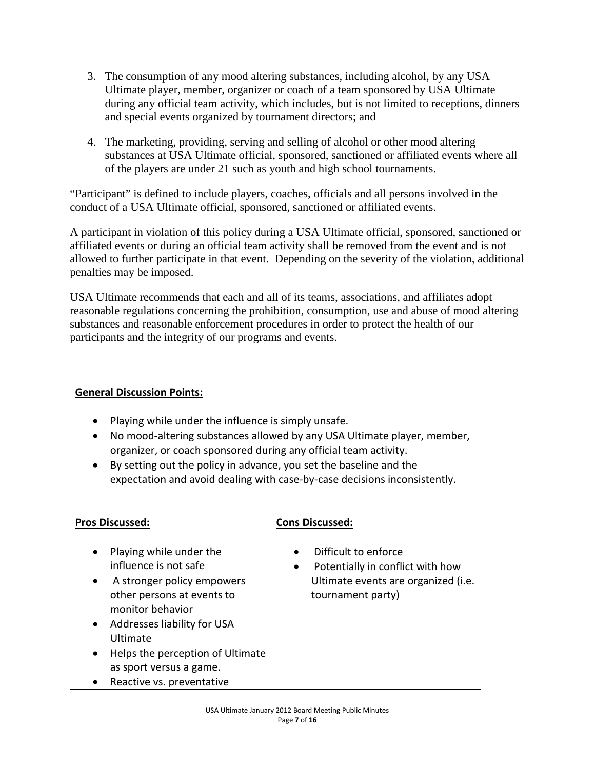- 3. The consumption of any mood altering substances, including alcohol, by any USA Ultimate player, member, organizer or coach of a team sponsored by USA Ultimate during any official team activity, which includes, but is not limited to receptions, dinners and special events organized by tournament directors; and
- 4. The marketing, providing, serving and selling of alcohol or other mood altering substances at USA Ultimate official, sponsored, sanctioned or affiliated events where all of the players are under 21 such as youth and high school tournaments.

"Participant" is defined to include players, coaches, officials and all persons involved in the conduct of a USA Ultimate official, sponsored, sanctioned or affiliated events.

A participant in violation of this policy during a USA Ultimate official, sponsored, sanctioned or affiliated events or during an official team activity shall be removed from the event and is not allowed to further participate in that event. Depending on the severity of the violation, additional penalties may be imposed.

USA Ultimate recommends that each and all of its teams, associations, and affiliates adopt reasonable regulations concerning the prohibition, consumption, use and abuse of mood altering substances and reasonable enforcement procedures in order to protect the health of our participants and the integrity of our programs and events.

| <b>General Discussion Points:</b>                                                                                                                                                                                                                                                                                                                                  |                                                                                                                      |  |  |
|--------------------------------------------------------------------------------------------------------------------------------------------------------------------------------------------------------------------------------------------------------------------------------------------------------------------------------------------------------------------|----------------------------------------------------------------------------------------------------------------------|--|--|
| Playing while under the influence is simply unsafe.<br>No mood-altering substances allowed by any USA Ultimate player, member,<br>organizer, or coach sponsored during any official team activity.<br>By setting out the policy in advance, you set the baseline and the<br>$\bullet$<br>expectation and avoid dealing with case-by-case decisions inconsistently. |                                                                                                                      |  |  |
| <b>Pros Discussed:</b>                                                                                                                                                                                                                                                                                                                                             | <b>Cons Discussed:</b>                                                                                               |  |  |
| Playing while under the<br>influence is not safe<br>A stronger policy empowers<br>other persons at events to<br>monitor behavior<br>Addresses liability for USA<br>Ultimate<br>Helps the perception of Ultimate<br>as sport versus a game.<br>Reactive vs. preventative                                                                                            | Difficult to enforce<br>Potentially in conflict with how<br>Ultimate events are organized (i.e.<br>tournament party) |  |  |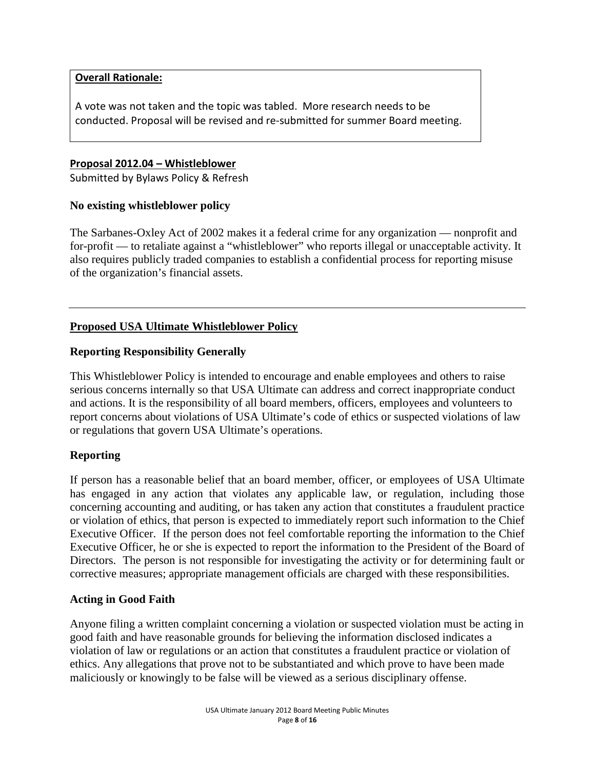#### **Overall Rationale:**

A vote was not taken and the topic was tabled. More research needs to be conducted. Proposal will be revised and re-submitted for summer Board meeting.

#### **Proposal 2012.04 – Whistleblower**

Submitted by Bylaws Policy & Refresh

## **No existing whistleblower policy**

The Sarbanes-Oxley Act of 2002 makes it a federal crime for any organization — nonprofit and for-profit — to retaliate against a "whistleblower" who reports illegal or unacceptable activity. It also requires publicly traded companies to establish a confidential process for reporting misuse of the organization's financial assets.

## **Proposed USA Ultimate Whistleblower Policy**

## **Reporting Responsibility Generally**

This Whistleblower Policy is intended to encourage and enable employees and others to raise serious concerns internally so that USA Ultimate can address and correct inappropriate conduct and actions. It is the responsibility of all board members, officers, employees and volunteers to report concerns about violations of USA Ultimate's code of ethics or suspected violations of law or regulations that govern USA Ultimate's operations.

## **Reporting**

If person has a reasonable belief that an board member, officer, or employees of USA Ultimate has engaged in any action that violates any applicable law, or regulation, including those concerning accounting and auditing, or has taken any action that constitutes a fraudulent practice or violation of ethics, that person is expected to immediately report such information to the Chief Executive Officer. If the person does not feel comfortable reporting the information to the Chief Executive Officer, he or she is expected to report the information to the President of the Board of Directors. The person is not responsible for investigating the activity or for determining fault or corrective measures; appropriate management officials are charged with these responsibilities.

## **Acting in Good Faith**

Anyone filing a written complaint concerning a violation or suspected violation must be acting in good faith and have reasonable grounds for believing the information disclosed indicates a violation of law or regulations or an action that constitutes a fraudulent practice or violation of ethics. Any allegations that prove not to be substantiated and which prove to have been made maliciously or knowingly to be false will be viewed as a serious disciplinary offense.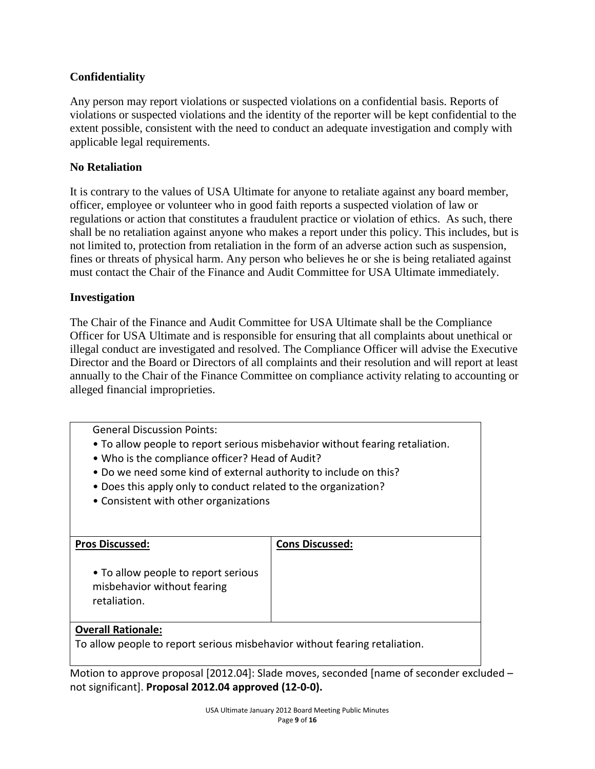## **Confidentiality**

Any person may report violations or suspected violations on a confidential basis. Reports of violations or suspected violations and the identity of the reporter will be kept confidential to the extent possible, consistent with the need to conduct an adequate investigation and comply with applicable legal requirements.

### **No Retaliation**

It is contrary to the values of USA Ultimate for anyone to retaliate against any board member, officer, employee or volunteer who in good faith reports a suspected violation of law or regulations or action that constitutes a fraudulent practice or violation of ethics. As such, there shall be no retaliation against anyone who makes a report under this policy. This includes, but is not limited to, protection from retaliation in the form of an adverse action such as suspension, fines or threats of physical harm. Any person who believes he or she is being retaliated against must contact the Chair of the Finance and Audit Committee for USA Ultimate immediately.

#### **Investigation**

The Chair of the Finance and Audit Committee for USA Ultimate shall be the Compliance Officer for USA Ultimate and is responsible for ensuring that all complaints about unethical or illegal conduct are investigated and resolved. The Compliance Officer will advise the Executive Director and the Board or Directors of all complaints and their resolution and will report at least annually to the Chair of the Finance Committee on compliance activity relating to accounting or alleged financial improprieties.

General Discussion Points:

- To allow people to report serious misbehavior without fearing retaliation.
- Who is the compliance officer? Head of Audit?
- Do we need some kind of external authority to include on this?
- Does this apply only to conduct related to the organization?
- Consistent with other organizations

| <b>Pros Discussed:</b>                                                             | <b>Cons Discussed:</b> |
|------------------------------------------------------------------------------------|------------------------|
| • To allow people to report serious<br>misbehavior without fearing<br>retaliation. |                        |
| Ouanell Detteneler                                                                 |                        |

#### **Overall Rationale:**

To allow people to report serious misbehavior without fearing retaliation.

Motion to approve proposal [2012.04]: Slade moves, seconded [name of seconder excluded – not significant]. **Proposal 2012.04 approved (12-0-0).**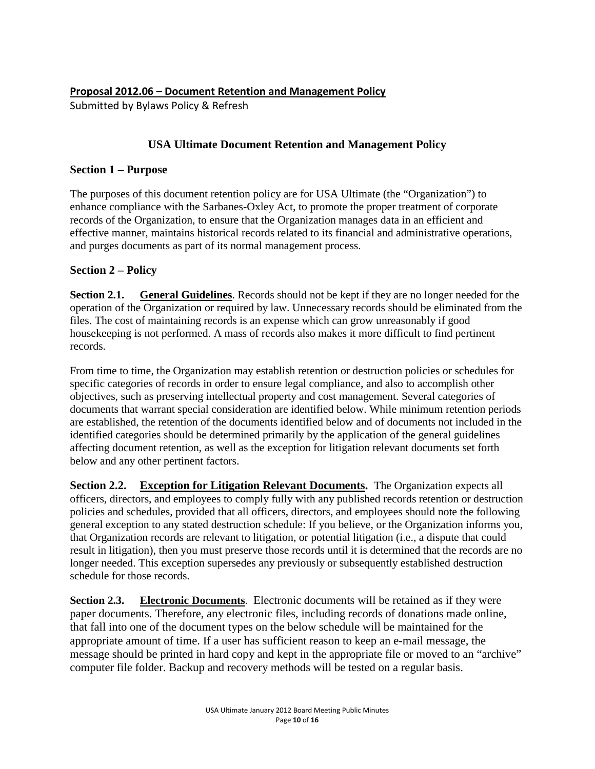## **USA Ultimate Document Retention and Management Policy**

### **Section 1 – Purpose**

The purposes of this document retention policy are for USA Ultimate (the "Organization") to enhance compliance with the Sarbanes-Oxley Act, to promote the proper treatment of corporate records of the Organization, to ensure that the Organization manages data in an efficient and effective manner, maintains historical records related to its financial and administrative operations, and purges documents as part of its normal management process.

#### **Section 2 – Policy**

**Section 2.1. General Guidelines**. Records should not be kept if they are no longer needed for the operation of the Organization or required by law. Unnecessary records should be eliminated from the files. The cost of maintaining records is an expense which can grow unreasonably if good housekeeping is not performed. A mass of records also makes it more difficult to find pertinent records.

From time to time, the Organization may establish retention or destruction policies or schedules for specific categories of records in order to ensure legal compliance, and also to accomplish other objectives, such as preserving intellectual property and cost management. Several categories of documents that warrant special consideration are identified below. While minimum retention periods are established, the retention of the documents identified below and of documents not included in the identified categories should be determined primarily by the application of the general guidelines affecting document retention, as well as the exception for litigation relevant documents set forth below and any other pertinent factors.

**Section 2.2. Exception for Litigation Relevant Documents.** The Organization expects all officers, directors, and employees to comply fully with any published records retention or destruction policies and schedules, provided that all officers, directors, and employees should note the following general exception to any stated destruction schedule: If you believe, or the Organization informs you, that Organization records are relevant to litigation, or potential litigation (i.e., a dispute that could result in litigation), then you must preserve those records until it is determined that the records are no longer needed. This exception supersedes any previously or subsequently established destruction schedule for those records.

**Section 2.3. Electronic Documents**. Electronic documents will be retained as if they were paper documents. Therefore, any electronic files, including records of donations made online, that fall into one of the document types on the below schedule will be maintained for the appropriate amount of time. If a user has sufficient reason to keep an e-mail message, the message should be printed in hard copy and kept in the appropriate file or moved to an "archive" computer file folder. Backup and recovery methods will be tested on a regular basis.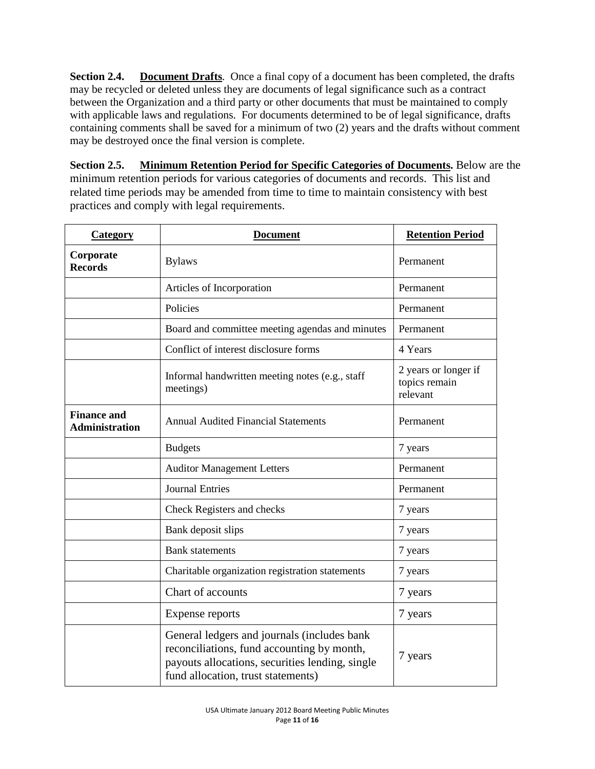**Section 2.4.** Document Drafts. Once a final copy of a document has been completed, the drafts may be recycled or deleted unless they are documents of legal significance such as a contract between the Organization and a third party or other documents that must be maintained to comply with applicable laws and regulations. For documents determined to be of legal significance, drafts containing comments shall be saved for a minimum of two (2) years and the drafts without comment may be destroyed once the final version is complete.

**Section 2.5. Minimum Retention Period for Specific Categories of Documents.** Below are the minimum retention periods for various categories of documents and records. This list and related time periods may be amended from time to time to maintain consistency with best practices and comply with legal requirements.

| <b>Category</b>                             | <b>Document</b>                                                                                                                                                                    | <b>Retention Period</b>                           |
|---------------------------------------------|------------------------------------------------------------------------------------------------------------------------------------------------------------------------------------|---------------------------------------------------|
| Corporate<br><b>Records</b>                 | <b>Bylaws</b>                                                                                                                                                                      | Permanent                                         |
|                                             | Articles of Incorporation                                                                                                                                                          | Permanent                                         |
|                                             | Policies                                                                                                                                                                           | Permanent                                         |
|                                             | Board and committee meeting agendas and minutes                                                                                                                                    | Permanent                                         |
|                                             | Conflict of interest disclosure forms                                                                                                                                              | 4 Years                                           |
|                                             | Informal handwritten meeting notes (e.g., staff<br>meetings)                                                                                                                       | 2 years or longer if<br>topics remain<br>relevant |
| <b>Finance and</b><br><b>Administration</b> | <b>Annual Audited Financial Statements</b>                                                                                                                                         | Permanent                                         |
|                                             | <b>Budgets</b>                                                                                                                                                                     | 7 years                                           |
|                                             | <b>Auditor Management Letters</b>                                                                                                                                                  | Permanent                                         |
|                                             | <b>Journal Entries</b>                                                                                                                                                             | Permanent                                         |
|                                             | Check Registers and checks                                                                                                                                                         | 7 years                                           |
|                                             | Bank deposit slips                                                                                                                                                                 | 7 years                                           |
|                                             | <b>Bank</b> statements                                                                                                                                                             | 7 years                                           |
|                                             | Charitable organization registration statements                                                                                                                                    | 7 years                                           |
|                                             | Chart of accounts                                                                                                                                                                  | 7 years                                           |
|                                             | <b>Expense reports</b>                                                                                                                                                             | 7 years                                           |
|                                             | General ledgers and journals (includes bank<br>reconciliations, fund accounting by month,<br>payouts allocations, securities lending, single<br>fund allocation, trust statements) | 7 years                                           |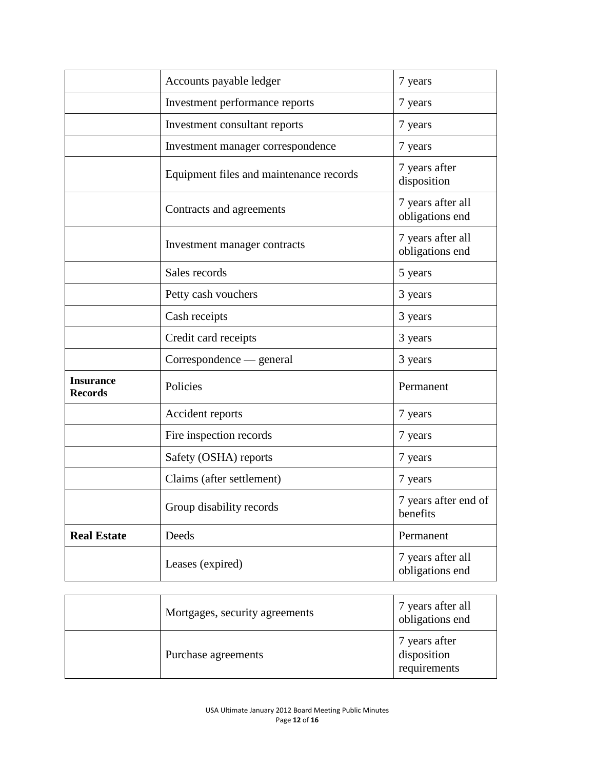|                                    | Accounts payable ledger                 | 7 years                              |
|------------------------------------|-----------------------------------------|--------------------------------------|
|                                    | Investment performance reports          | 7 years                              |
|                                    | Investment consultant reports           | 7 years                              |
|                                    | Investment manager correspondence       | 7 years                              |
|                                    | Equipment files and maintenance records | 7 years after<br>disposition         |
|                                    | Contracts and agreements                | 7 years after all<br>obligations end |
|                                    | Investment manager contracts            | 7 years after all<br>obligations end |
|                                    | Sales records                           | 5 years                              |
|                                    | Petty cash vouchers                     | 3 years                              |
|                                    | Cash receipts                           | 3 years                              |
|                                    | Credit card receipts                    | 3 years                              |
|                                    | Correspondence — general                | 3 years                              |
| <b>Insurance</b><br><b>Records</b> | Policies                                | Permanent                            |
|                                    | Accident reports                        | 7 years                              |
|                                    | Fire inspection records                 | 7 years                              |
|                                    | Safety (OSHA) reports                   | 7 years                              |
|                                    | Claims (after settlement)               | 7 years                              |
|                                    | Group disability records                | 7 years after end of<br>benefits     |
| <b>Real Estate</b>                 | Deeds                                   | Permanent                            |
|                                    | Leases (expired)                        | 7 years after all<br>obligations end |

| Mortgages, security agreements | 7 years after all<br>obligations end         |
|--------------------------------|----------------------------------------------|
| Purchase agreements            | 7 years after<br>disposition<br>requirements |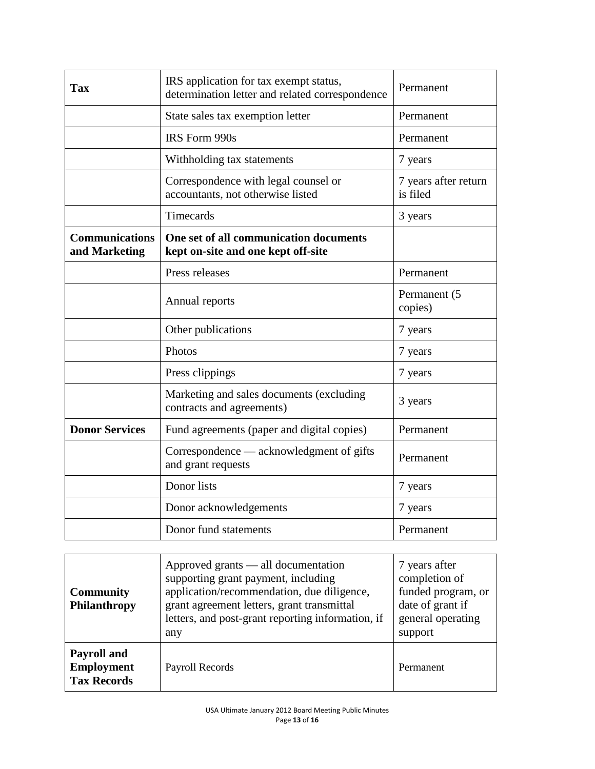| <b>Tax</b>                             | IRS application for tax exempt status,<br>determination letter and related correspondence | Permanent                        |  |
|----------------------------------------|-------------------------------------------------------------------------------------------|----------------------------------|--|
|                                        | State sales tax exemption letter                                                          | Permanent                        |  |
|                                        | IRS Form 990s                                                                             | Permanent                        |  |
|                                        | Withholding tax statements                                                                | 7 years                          |  |
|                                        | Correspondence with legal counsel or<br>accountants, not otherwise listed                 | 7 years after return<br>is filed |  |
|                                        | Timecards                                                                                 | 3 years                          |  |
| <b>Communications</b><br>and Marketing | One set of all communication documents<br>kept on-site and one kept off-site              |                                  |  |
|                                        | Press releases                                                                            | Permanent                        |  |
|                                        | Annual reports                                                                            | Permanent (5<br>copies)          |  |
|                                        | Other publications                                                                        | 7 years                          |  |
|                                        | Photos                                                                                    | 7 years                          |  |
|                                        | Press clippings                                                                           | 7 years                          |  |
|                                        | Marketing and sales documents (excluding<br>contracts and agreements)                     | 3 years                          |  |
| <b>Donor Services</b>                  | Fund agreements (paper and digital copies)                                                | Permanent                        |  |
|                                        | Correspondence — acknowledgment of gifts<br>and grant requests                            | Permanent                        |  |
|                                        | Donor lists                                                                               | 7 years                          |  |
|                                        | Donor acknowledgements                                                                    | 7 years                          |  |
|                                        | Donor fund statements                                                                     | Permanent                        |  |

| <b>Community</b><br><b>Philanthropy</b>                | Approved grants — all documentation<br>supporting grant payment, including<br>application/recommendation, due diligence,<br>grant agreement letters, grant transmittal<br>letters, and post-grant reporting information, if<br>any | 7 years after<br>completion of<br>funded program, or<br>date of grant if<br>general operating<br>support |
|--------------------------------------------------------|------------------------------------------------------------------------------------------------------------------------------------------------------------------------------------------------------------------------------------|----------------------------------------------------------------------------------------------------------|
| Payroll and<br><b>Employment</b><br><b>Tax Records</b> | Payroll Records                                                                                                                                                                                                                    | Permanent                                                                                                |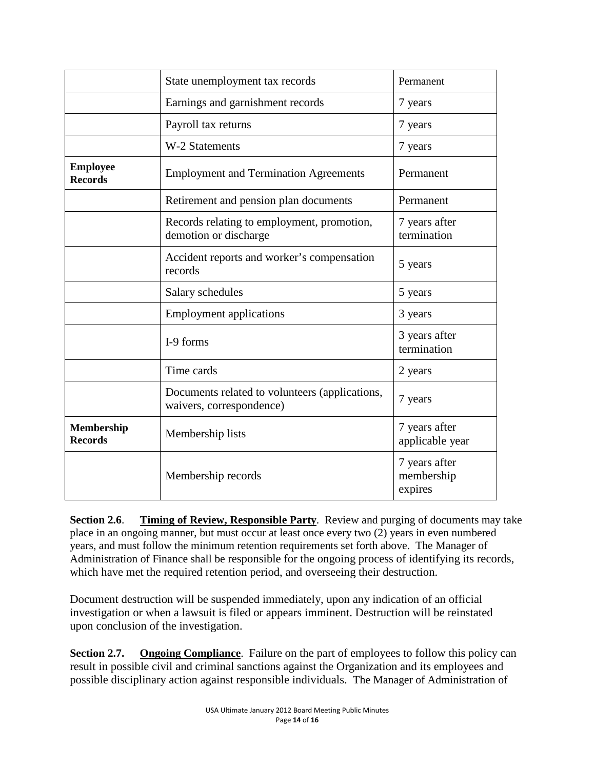|                                     | State unemployment tax records                                             | Permanent                              |
|-------------------------------------|----------------------------------------------------------------------------|----------------------------------------|
|                                     | Earnings and garnishment records                                           | 7 years                                |
|                                     | Payroll tax returns                                                        | 7 years                                |
|                                     | W-2 Statements                                                             | 7 years                                |
| <b>Employee</b><br><b>Records</b>   | <b>Employment and Termination Agreements</b>                               | Permanent                              |
|                                     | Retirement and pension plan documents                                      | Permanent                              |
|                                     | Records relating to employment, promotion,<br>demotion or discharge        | 7 years after<br>termination           |
|                                     | Accident reports and worker's compensation<br>records                      | 5 years                                |
|                                     | Salary schedules                                                           | 5 years                                |
|                                     | <b>Employment applications</b>                                             | 3 years                                |
|                                     | I-9 forms                                                                  | 3 years after<br>termination           |
|                                     | Time cards                                                                 | 2 years                                |
|                                     | Documents related to volunteers (applications,<br>waivers, correspondence) | 7 years                                |
| <b>Membership</b><br><b>Records</b> | Membership lists                                                           | 7 years after<br>applicable year       |
|                                     | Membership records                                                         | 7 years after<br>membership<br>expires |

**Section 2.6**. **Timing of Review, Responsible Party**. Review and purging of documents may take place in an ongoing manner, but must occur at least once every two (2) years in even numbered years, and must follow the minimum retention requirements set forth above. The Manager of Administration of Finance shall be responsible for the ongoing process of identifying its records, which have met the required retention period, and overseeing their destruction.

Document destruction will be suspended immediately, upon any indication of an official investigation or when a lawsuit is filed or appears imminent. Destruction will be reinstated upon conclusion of the investigation.

**Section 2.7. Ongoing Compliance**. Failure on the part of employees to follow this policy can result in possible civil and criminal sanctions against the Organization and its employees and possible disciplinary action against responsible individuals. The Manager of Administration of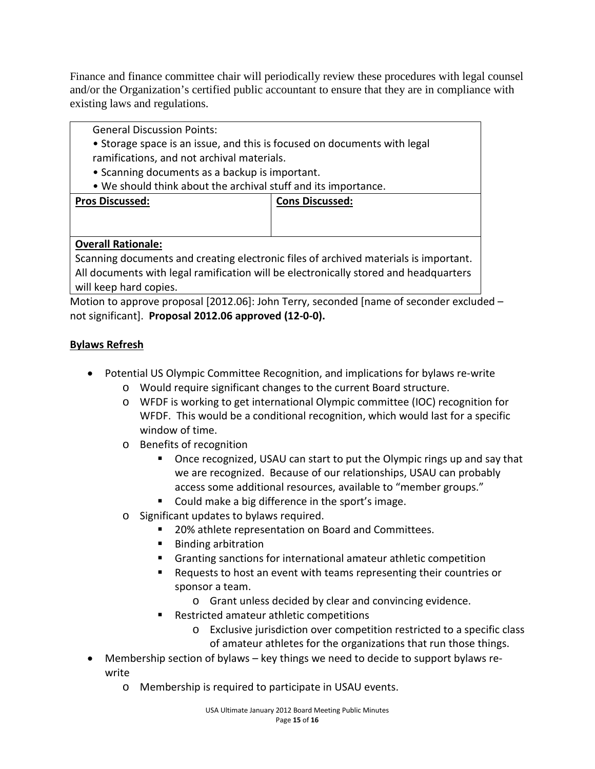Finance and finance committee chair will periodically review these procedures with legal counsel and/or the Organization's certified public accountant to ensure that they are in compliance with existing laws and regulations.

General Discussion Points:

- Storage space is an issue, and this is focused on documents with legal ramifications, and not archival materials.
- Scanning documents as a backup is important.
- We should think about the archival stuff and its importance.

| <b>Pros Discussed:</b> | <b>Cons Discussed:</b> |
|------------------------|------------------------|
|                        |                        |
|                        |                        |
|                        |                        |
|                        |                        |
|                        |                        |
|                        |                        |

## **Overall Rationale:**

Scanning documents and creating electronic files of archived materials is important. All documents with legal ramification will be electronically stored and headquarters will keep hard copies.

Motion to approve proposal [2012.06]: John Terry, seconded [name of seconder excluded – not significant]. **Proposal 2012.06 approved (12-0-0).**

## **Bylaws Refresh**

- Potential US Olympic Committee Recognition, and implications for bylaws re-write
	- o Would require significant changes to the current Board structure.
	- o WFDF is working to get international Olympic committee (IOC) recognition for WFDF. This would be a conditional recognition, which would last for a specific window of time.
	- o Benefits of recognition
		- Once recognized, USAU can start to put the Olympic rings up and say that we are recognized. Because of our relationships, USAU can probably access some additional resources, available to "member groups."
		- Could make a big difference in the sport's image.
	- o Significant updates to bylaws required.
		- 20% athlete representation on Board and Committees.
		- Binding arbitration
		- Granting sanctions for international amateur athletic competition
		- Requests to host an event with teams representing their countries or sponsor a team.
			- o Grant unless decided by clear and convincing evidence.
		- Restricted amateur athletic competitions
			- o Exclusive jurisdiction over competition restricted to a specific class of amateur athletes for the organizations that run those things.
- Membership section of bylaws key things we need to decide to support bylaws rewrite
	- o Membership is required to participate in USAU events.